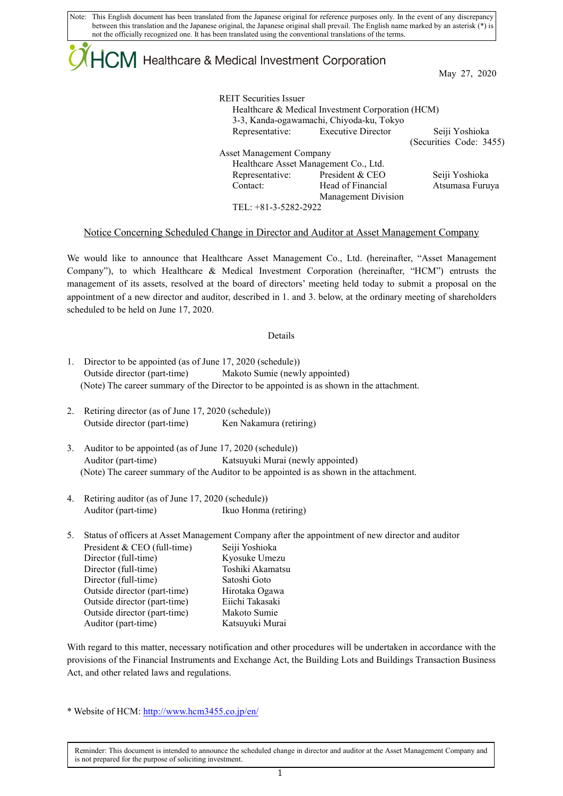Note: This English document has been translated from the Japanese original for reference purposes only. In the event of any discrepancy between this translation and the Japanese original, the Japanese original shall prevail. The English name marked by an asterisk (\*) is not the officially recognized one. It has been translated using the conventional translations of the terms.

# $ICM$  Healthcare & Medical Investment Corporation

May 27, 2020

| <b>REIT Securities Issuer</b>            |                                                   |                         |  |  |  |  |
|------------------------------------------|---------------------------------------------------|-------------------------|--|--|--|--|
|                                          | Healthcare & Medical Investment Corporation (HCM) |                         |  |  |  |  |
| 3-3, Kanda-ogawamachi, Chiyoda-ku, Tokyo |                                                   |                         |  |  |  |  |
|                                          | Representative: Executive Director                | Seiji Yoshioka          |  |  |  |  |
|                                          |                                                   | (Securities Code: 3455) |  |  |  |  |
| <b>Asset Management Company</b>          |                                                   |                         |  |  |  |  |
| Healthcare Asset Management Co., Ltd.    |                                                   |                         |  |  |  |  |
|                                          | Representative: President & CEO                   | Seiji Yoshioka          |  |  |  |  |
| Contact:                                 | Head of Financial                                 | Atsumasa Furuya         |  |  |  |  |
|                                          | <b>Management Division</b>                        |                         |  |  |  |  |
| TEL: +81-3-5282-2922                     |                                                   |                         |  |  |  |  |

### Notice Concerning Scheduled Change in Director and Auditor at Asset Management Company

We would like to announce that Healthcare Asset Management Co., Ltd. (hereinafter, "Asset Management Company"), to which Healthcare & Medical Investment Corporation (hereinafter, "HCM") entrusts the management of its assets, resolved at the board of directors' meeting held today to submit a proposal on the appointment of a new director and auditor, described in 1. and 3. below, at the ordinary meeting of shareholders scheduled to be held on June 17, 2020.

#### Details

- 1. Director to be appointed (as of June 17, 2020 (schedule)) Outside director (part-time) Makoto Sumie (newly appointed) (Note) The career summary of the Director to be appointed is as shown in the attachment.
- 2. Retiring director (as of June 17, 2020 (schedule)) Outside director (part-time) Ken Nakamura (retiring)
- 3. Auditor to be appointed (as of June 17, 2020 (schedule)) Auditor (part-time) Katsuyuki Murai (newly appointed) (Note) The career summary of the Auditor to be appointed is as shown in the attachment.
- 4. Retiring auditor (as of June 17, 2020 (schedule)) Auditor (part-time) Ikuo Honma (retiring)

| 5. | Status of officers at Asset Management Company after the appointment of new director and auditor |                  |  |  |
|----|--------------------------------------------------------------------------------------------------|------------------|--|--|
|    | President & CEO (full-time)                                                                      | Seiji Yoshioka   |  |  |
|    | Director (full-time)                                                                             | Kyosuke Umezu    |  |  |
|    | Director (full-time)                                                                             | Toshiki Akamatsu |  |  |
|    | Director (full-time)                                                                             | Satoshi Goto     |  |  |
|    | Outside director (part-time)                                                                     | Hirotaka Ogawa   |  |  |
|    | Outside director (part-time)                                                                     | Eiichi Takasaki  |  |  |
|    | Outside director (part-time)                                                                     | Makoto Sumie     |  |  |
|    | Auditor (part-time)                                                                              | Katsuyuki Murai  |  |  |

With regard to this matter, necessary notification and other procedures will be undertaken in accordance with the provisions of the Financial Instruments and Exchange Act, the Building Lots and Buildings Transaction Business Act, and other related laws and regulations.

\* Website of HCM[: http://www.hcm3455.co.jp/en/](http://www.hcm3455.co.jp/en/)

Reminder: This document is intended to announce the scheduled change in director and auditor at the Asset Management Company and is not prepared for the purpose of soliciting investment.